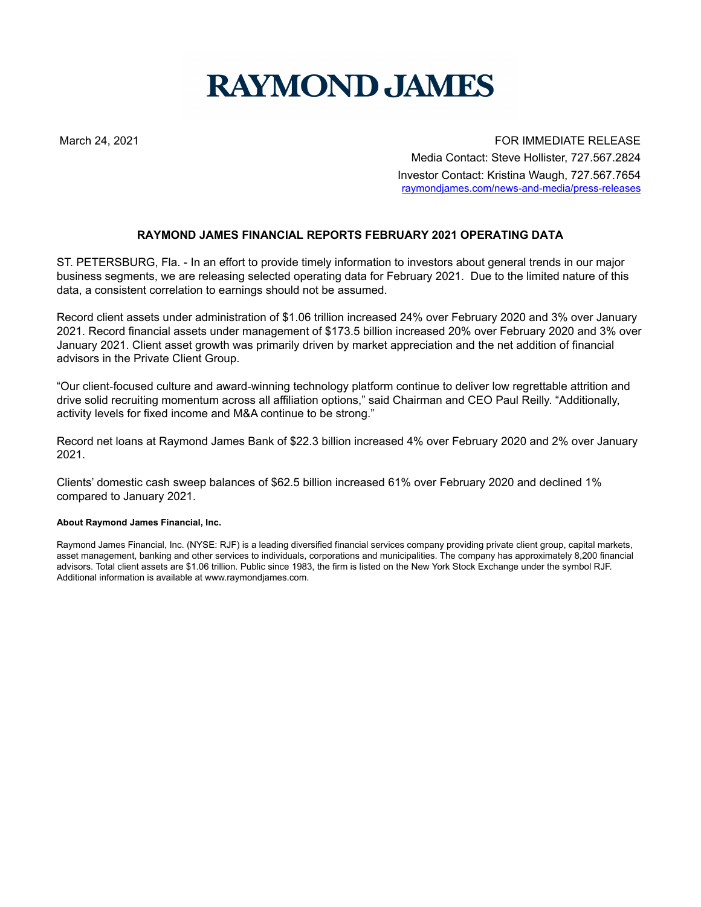## **RAYMOND JAMES**

March 24, 2021 FOR IMMEDIATE RELEASE Media Contact: Steve Hollister, 727.567.2824 Investor Contact: Kristina Waugh, 727.567.7654 raymondjames.com/news-and-media/press-releases

## **RAYMOND JAMES FINANCIAL REPORTS FEBRUARY 2021 OPERATING DATA**

ST. PETERSBURG, Fla. - In an effort to provide timely information to investors about general trends in our major business segments, we are releasing selected operating data for February 2021. Due to the limited nature of this data, a consistent correlation to earnings should not be assumed.

Record client assets under administration of \$1.06 trillion increased 24% over February 2020 and 3% over January 2021. Record financial assets under management of \$173.5 billion increased 20% over February 2020 and 3% over January 2021. Client asset growth was primarily driven by market appreciation and the net addition of financial advisors in the Private Client Group.

"Our client‑focused culture and award‑winning technology platform continue to deliver low regrettable attrition and drive solid recruiting momentum across all affiliation options," said Chairman and CEO Paul Reilly. "Additionally, activity levels for fixed income and M&A continue to be strong."

Record net loans at Raymond James Bank of \$22.3 billion increased 4% over February 2020 and 2% over January 2021.

Clients' domestic cash sweep balances of \$62.5 billion increased 61% over February 2020 and declined 1% compared to January 2021.

## **About Raymond James Financial, Inc.**

Raymond James Financial, Inc. (NYSE: RJF) is a leading diversified financial services company providing private client group, capital markets, asset management, banking and other services to individuals, corporations and municipalities. The company has approximately 8,200 financial advisors. Total client assets are \$1.06 trillion. Public since 1983, the firm is listed on the New York Stock Exchange under the symbol RJF. Additional information is available at www.raymondjames.com.